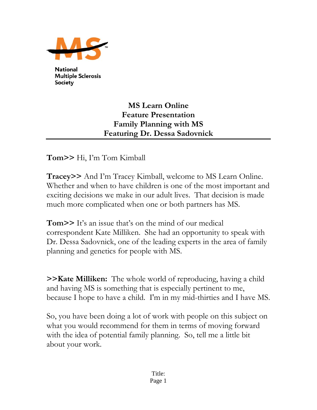

**National Multiple Sclerosis Society** 

## **MS Learn Online Feature Presentation Family Planning with MS Featuring Dr. Dessa Sadovnick**

**Tom>>** Hi, I'm Tom Kimball

**Tracey>>** And I'm Tracey Kimball, welcome to MS Learn Online. Whether and when to have children is one of the most important and exciting decisions we make in our adult lives. That decision is made much more complicated when one or both partners has MS.

**Tom>>** It's an issue that's on the mind of our medical correspondent Kate Milliken. She had an opportunity to speak with Dr. Dessa Sadovnick, one of the leading experts in the area of family planning and genetics for people with MS.

**>>Kate Milliken:** The whole world of reproducing, having a child and having MS is something that is especially pertinent to me, because I hope to have a child. I'm in my mid-thirties and I have MS.

So, you have been doing a lot of work with people on this subject on what you would recommend for them in terms of moving forward with the idea of potential family planning. So, tell me a little bit about your work.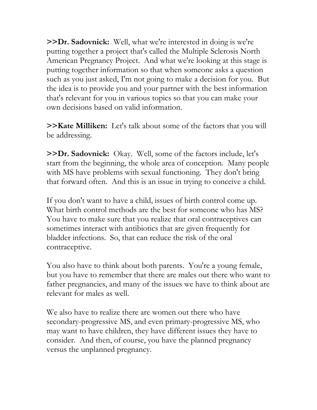**>>Dr. Sadovnick:** Well, what we're interested in doing is we're putting together a project that's called the Multiple Sclerosis North American Pregnancy Project. And what we're looking at this stage is putting together information so that when someone asks a question such as you just asked, I'm not going to make a decision for you. But the idea is to provide you and your partner with the best information that's relevant for you in various topics so that you can make your own decisions based on valid information.

**>>Kate Milliken:** Let's talk about some of the factors that you will be addressing.

**>>Dr. Sadovnick:** Okay. Well, some of the factors include, let's start from the beginning, the whole area of conception. Many people with MS have problems with sexual functioning. They don't bring that forward often. And this is an issue in trying to conceive a child.

If you don't want to have a child, issues of birth control come up. What birth control methods are the best for someone who has MS? You have to make sure that you realize that oral contraceptives can sometimes interact with antibiotics that are given frequently for bladder infections. So, that can reduce the risk of the oral contraceptive.

You also have to think about both parents. You're a young female, but you have to remember that there are males out there who want to father pregnancies, and many of the issues we have to think about are relevant for males as well.

We also have to realize there are women out there who have secondary-progressive MS, and even primary-progressive MS, who may want to have children, they have different issues they have to consider. And then, of course, you have the planned pregnancy versus the unplanned pregnancy.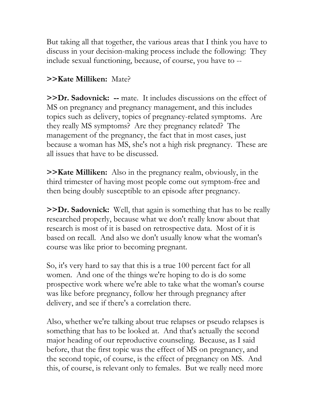But taking all that together, the various areas that I think you have to discuss in your decision-making process include the following: They include sexual functioning, because, of course, you have to --

## **>>Kate Milliken:** Mate?

**>>Dr. Sadovnick: --** mate. It includes discussions on the effect of MS on pregnancy and pregnancy management, and this includes topics such as delivery, topics of pregnancy-related symptoms. Are they really MS symptoms? Are they pregnancy related? The management of the pregnancy, the fact that in most cases, just because a woman has MS, she's not a high risk pregnancy. These are all issues that have to be discussed.

**>>Kate Milliken:** Also in the pregnancy realm, obviously, in the third trimester of having most people come out symptom-free and then being doubly susceptible to an episode after pregnancy.

**>>Dr. Sadovnick:** Well, that again is something that has to be really researched properly, because what we don't really know about that research is most of it is based on retrospective data. Most of it is based on recall. And also we don't usually know what the woman's course was like prior to becoming pregnant.

So, it's very hard to say that this is a true 100 percent fact for all women. And one of the things we're hoping to do is do some prospective work where we're able to take what the woman's course was like before pregnancy, follow her through pregnancy after delivery, and see if there's a correlation there.

Also, whether we're talking about true relapses or pseudo relapses is something that has to be looked at. And that's actually the second major heading of our reproductive counseling. Because, as I said before, that the first topic was the effect of MS on pregnancy, and the second topic, of course, is the effect of pregnancy on MS. And this, of course, is relevant only to females. But we really need more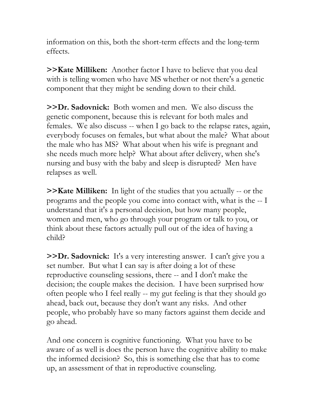information on this, both the short-term effects and the long-term effects.

**>>Kate Milliken:** Another factor I have to believe that you deal with is telling women who have MS whether or not there's a genetic component that they might be sending down to their child.

**>>Dr. Sadovnick:** Both women and men. We also discuss the genetic component, because this is relevant for both males and females. We also discuss -- when I go back to the relapse rates, again, everybody focuses on females, but what about the male? What about the male who has MS? What about when his wife is pregnant and she needs much more help? What about after delivery, when she's nursing and busy with the baby and sleep is disrupted? Men have relapses as well.

**>>Kate Milliken:** In light of the studies that you actually -- or the programs and the people you come into contact with, what is the -- I understand that it's a personal decision, but how many people, women and men, who go through your program or talk to you, or think about these factors actually pull out of the idea of having a child?

**>>Dr. Sadovnick:** It's a very interesting answer. I can't give you a set number. But what I can say is after doing a lot of these reproductive counseling sessions, there -- and I don't make the decision; the couple makes the decision. I have been surprised how often people who I feel really -- my gut feeling is that they should go ahead, back out, because they don't want any risks. And other people, who probably have so many factors against them decide and go ahead.

And one concern is cognitive functioning. What you have to be aware of as well is does the person have the cognitive ability to make the informed decision? So, this is something else that has to come up, an assessment of that in reproductive counseling.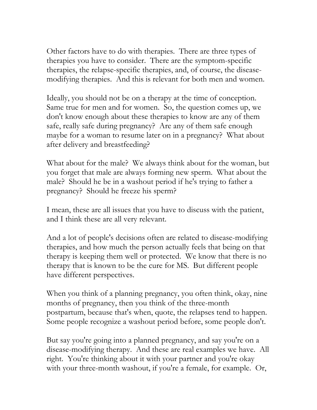Other factors have to do with therapies. There are three types of therapies you have to consider. There are the symptom-specific therapies, the relapse-specific therapies, and, of course, the diseasemodifying therapies. And this is relevant for both men and women.

Ideally, you should not be on a therapy at the time of conception. Same true for men and for women. So, the question comes up, we don't know enough about these therapies to know are any of them safe, really safe during pregnancy? Are any of them safe enough maybe for a woman to resume later on in a pregnancy? What about after delivery and breastfeeding?

What about for the male? We always think about for the woman, but you forget that male are always forming new sperm. What about the male? Should he be in a washout period if he's trying to father a pregnancy? Should he freeze his sperm?

I mean, these are all issues that you have to discuss with the patient, and I think these are all very relevant.

And a lot of people's decisions often are related to disease-modifying therapies, and how much the person actually feels that being on that therapy is keeping them well or protected. We know that there is no therapy that is known to be the cure for MS. But different people have different perspectives.

When you think of a planning pregnancy, you often think, okay, nine months of pregnancy, then you think of the three-month postpartum, because that's when, quote, the relapses tend to happen. Some people recognize a washout period before, some people don't.

But say you're going into a planned pregnancy, and say you're on a disease-modifying therapy. And these are real examples we have. All right. You're thinking about it with your partner and you're okay with your three-month washout, if you're a female, for example. Or,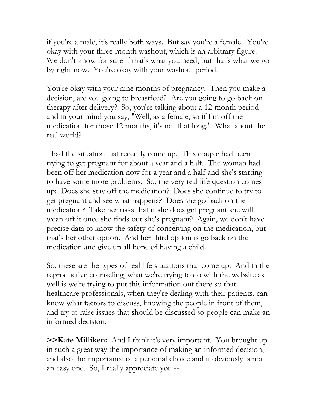if you're a male, it's really both ways. But say you're a female. You're okay with your three-month washout, which is an arbitrary figure. We don't know for sure if that's what you need, but that's what we go by right now. You're okay with your washout period.

You're okay with your nine months of pregnancy. Then you make a decision, are you going to breastfeed? Are you going to go back on therapy after delivery? So, you're talking about a 12-month period and in your mind you say, "Well, as a female, so if I'm off the medication for those 12 months, it's not that long." What about the real world?

I had the situation just recently come up. This couple had been trying to get pregnant for about a year and a half. The woman had been off her medication now for a year and a half and she's starting to have some more problems. So, the very real life question comes up: Does she stay off the medication? Does she continue to try to get pregnant and see what happens? Does she go back on the medication? Take her risks that if she does get pregnant she will wean off it once she finds out she's pregnant? Again, we don't have precise data to know the safety of conceiving on the medication, but that's her other option. And her third option is go back on the medication and give up all hope of having a child.

So, these are the types of real life situations that come up. And in the reproductive counseling, what we're trying to do with the website as well is we're trying to put this information out there so that healthcare professionals, when they're dealing with their patients, can know what factors to discuss, knowing the people in front of them, and try to raise issues that should be discussed so people can make an informed decision.

**>>Kate Milliken:** And I think it's very important. You brought up in such a great way the importance of making an informed decision, and also the importance of a personal choice and it obviously is not an easy one. So, I really appreciate you --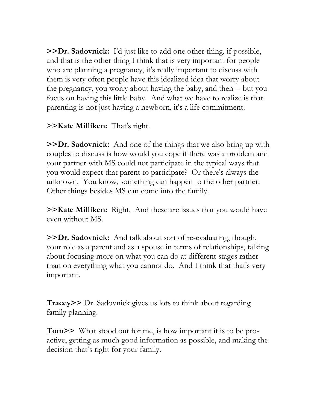**>>Dr. Sadovnick:** I'd just like to add one other thing, if possible, and that is the other thing I think that is very important for people who are planning a pregnancy, it's really important to discuss with them is very often people have this idealized idea that worry about the pregnancy, you worry about having the baby, and then -- but you focus on having this little baby. And what we have to realize is that parenting is not just having a newborn, it's a life commitment.

## **>>Kate Milliken:** That's right.

**>>Dr. Sadovnick:** And one of the things that we also bring up with couples to discuss is how would you cope if there was a problem and your partner with MS could not participate in the typical ways that you would expect that parent to participate? Or there's always the unknown. You know, something can happen to the other partner. Other things besides MS can come into the family.

**>>Kate Milliken:** Right. And these are issues that you would have even without MS.

**>>Dr. Sadovnick:** And talk about sort of re-evaluating, though, your role as a parent and as a spouse in terms of relationships, talking about focusing more on what you can do at different stages rather than on everything what you cannot do. And I think that that's very important.

**Tracey>>** Dr. Sadovnick gives us lots to think about regarding family planning.

**Tom>>** What stood out for me, is how important it is to be proactive, getting as much good information as possible, and making the decision that's right for your family.